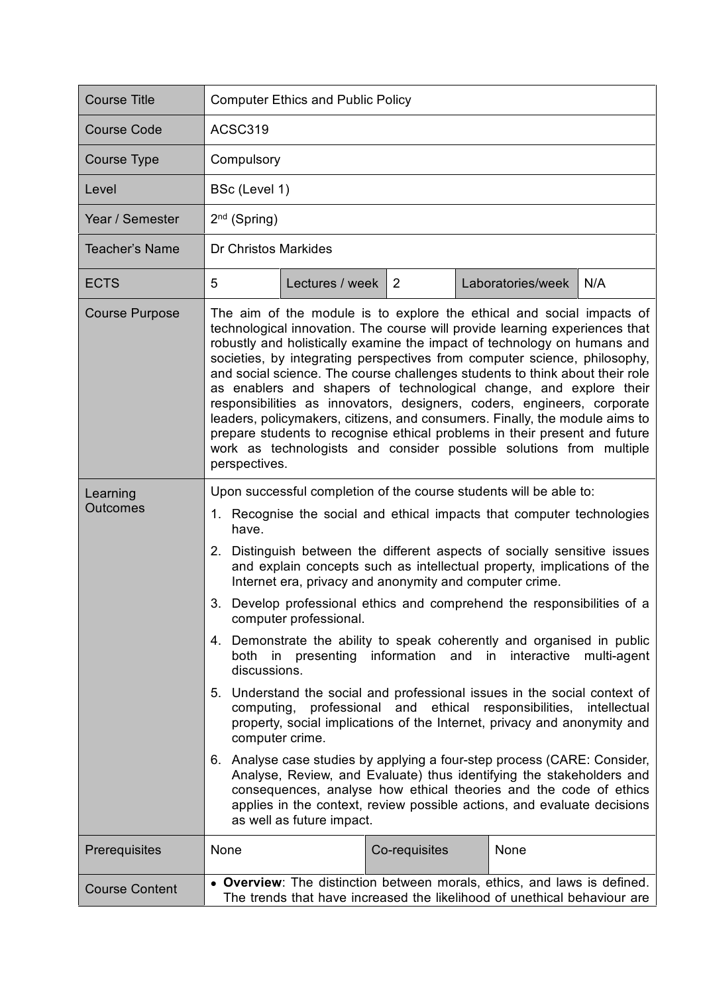| <b>Course Title</b>         | <b>Computer Ethics and Public Policy</b>                                                                                                                                                                                                                                                                                                                                                                                                                                                                                                                                                                                                                                                                                                                                                                                                                                                                                                                                                                                                                                                                                                                                                                                       |                 |               |  |                   |     |  |
|-----------------------------|--------------------------------------------------------------------------------------------------------------------------------------------------------------------------------------------------------------------------------------------------------------------------------------------------------------------------------------------------------------------------------------------------------------------------------------------------------------------------------------------------------------------------------------------------------------------------------------------------------------------------------------------------------------------------------------------------------------------------------------------------------------------------------------------------------------------------------------------------------------------------------------------------------------------------------------------------------------------------------------------------------------------------------------------------------------------------------------------------------------------------------------------------------------------------------------------------------------------------------|-----------------|---------------|--|-------------------|-----|--|
| <b>Course Code</b>          | ACSC319                                                                                                                                                                                                                                                                                                                                                                                                                                                                                                                                                                                                                                                                                                                                                                                                                                                                                                                                                                                                                                                                                                                                                                                                                        |                 |               |  |                   |     |  |
| <b>Course Type</b>          | Compulsory                                                                                                                                                                                                                                                                                                                                                                                                                                                                                                                                                                                                                                                                                                                                                                                                                                                                                                                                                                                                                                                                                                                                                                                                                     |                 |               |  |                   |     |  |
| Level                       |                                                                                                                                                                                                                                                                                                                                                                                                                                                                                                                                                                                                                                                                                                                                                                                                                                                                                                                                                                                                                                                                                                                                                                                                                                | BSc (Level 1)   |               |  |                   |     |  |
| Year / Semester             | $2nd$ (Spring)                                                                                                                                                                                                                                                                                                                                                                                                                                                                                                                                                                                                                                                                                                                                                                                                                                                                                                                                                                                                                                                                                                                                                                                                                 |                 |               |  |                   |     |  |
| <b>Teacher's Name</b>       | Dr Christos Markides                                                                                                                                                                                                                                                                                                                                                                                                                                                                                                                                                                                                                                                                                                                                                                                                                                                                                                                                                                                                                                                                                                                                                                                                           |                 |               |  |                   |     |  |
| <b>ECTS</b>                 | 5                                                                                                                                                                                                                                                                                                                                                                                                                                                                                                                                                                                                                                                                                                                                                                                                                                                                                                                                                                                                                                                                                                                                                                                                                              | Lectures / week | 2             |  | Laboratories/week | N/A |  |
| <b>Course Purpose</b>       | The aim of the module is to explore the ethical and social impacts of<br>technological innovation. The course will provide learning experiences that<br>robustly and holistically examine the impact of technology on humans and<br>societies, by integrating perspectives from computer science, philosophy,<br>and social science. The course challenges students to think about their role<br>as enablers and shapers of technological change, and explore their<br>responsibilities as innovators, designers, coders, engineers, corporate<br>leaders, policymakers, citizens, and consumers. Finally, the module aims to<br>prepare students to recognise ethical problems in their present and future<br>work as technologists and consider possible solutions from multiple<br>perspectives.                                                                                                                                                                                                                                                                                                                                                                                                                            |                 |               |  |                   |     |  |
| Learning<br><b>Outcomes</b> | Upon successful completion of the course students will be able to:<br>1. Recognise the social and ethical impacts that computer technologies<br>have.<br>2. Distinguish between the different aspects of socially sensitive issues<br>and explain concepts such as intellectual property, implications of the<br>Internet era, privacy and anonymity and computer crime.<br>3. Develop professional ethics and comprehend the responsibilities of a<br>computer professional.<br>4. Demonstrate the ability to speak coherently and organised in public<br>both in presenting information and in interactive<br>multi-agent<br>discussions.<br>5. Understand the social and professional issues in the social context of<br>computing, professional and ethical responsibilities, intellectual<br>property, social implications of the Internet, privacy and anonymity and<br>computer crime.<br>6. Analyse case studies by applying a four-step process (CARE: Consider,<br>Analyse, Review, and Evaluate) thus identifying the stakeholders and<br>consequences, analyse how ethical theories and the code of ethics<br>applies in the context, review possible actions, and evaluate decisions<br>as well as future impact. |                 |               |  |                   |     |  |
| Prerequisites               | None                                                                                                                                                                                                                                                                                                                                                                                                                                                                                                                                                                                                                                                                                                                                                                                                                                                                                                                                                                                                                                                                                                                                                                                                                           |                 | Co-requisites |  | None              |     |  |
| <b>Course Content</b>       | • Overview: The distinction between morals, ethics, and laws is defined.<br>The trends that have increased the likelihood of unethical behaviour are                                                                                                                                                                                                                                                                                                                                                                                                                                                                                                                                                                                                                                                                                                                                                                                                                                                                                                                                                                                                                                                                           |                 |               |  |                   |     |  |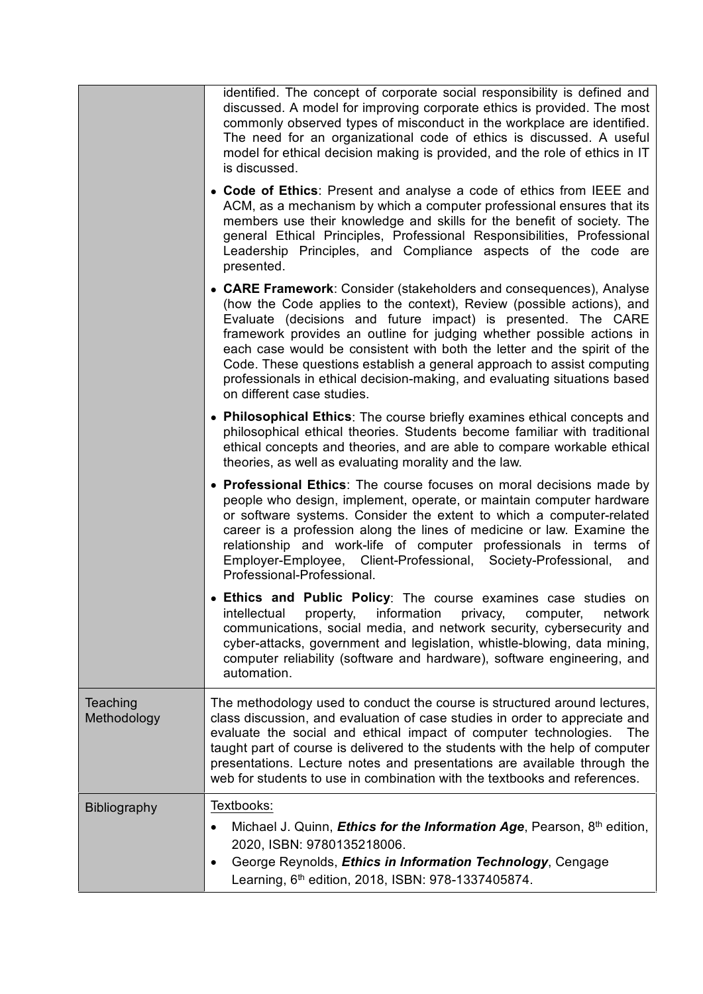|                         | identified. The concept of corporate social responsibility is defined and<br>discussed. A model for improving corporate ethics is provided. The most<br>commonly observed types of misconduct in the workplace are identified.<br>The need for an organizational code of ethics is discussed. A useful<br>model for ethical decision making is provided, and the role of ethics in IT<br>is discussed.                                                                                                                                                  |  |  |  |  |
|-------------------------|---------------------------------------------------------------------------------------------------------------------------------------------------------------------------------------------------------------------------------------------------------------------------------------------------------------------------------------------------------------------------------------------------------------------------------------------------------------------------------------------------------------------------------------------------------|--|--|--|--|
|                         | • Code of Ethics: Present and analyse a code of ethics from IEEE and<br>ACM, as a mechanism by which a computer professional ensures that its<br>members use their knowledge and skills for the benefit of society. The<br>general Ethical Principles, Professional Responsibilities, Professional<br>Leadership Principles, and Compliance aspects of the code are<br>presented.                                                                                                                                                                       |  |  |  |  |
|                         | • CARE Framework: Consider (stakeholders and consequences), Analyse<br>(how the Code applies to the context), Review (possible actions), and<br>Evaluate (decisions and future impact) is presented. The CARE<br>framework provides an outline for judging whether possible actions in<br>each case would be consistent with both the letter and the spirit of the<br>Code. These questions establish a general approach to assist computing<br>professionals in ethical decision-making, and evaluating situations based<br>on different case studies. |  |  |  |  |
|                         | • Philosophical Ethics: The course briefly examines ethical concepts and<br>philosophical ethical theories. Students become familiar with traditional<br>ethical concepts and theories, and are able to compare workable ethical<br>theories, as well as evaluating morality and the law.                                                                                                                                                                                                                                                               |  |  |  |  |
|                         | • Professional Ethics: The course focuses on moral decisions made by<br>people who design, implement, operate, or maintain computer hardware<br>or software systems. Consider the extent to which a computer-related<br>career is a profession along the lines of medicine or law. Examine the<br>relationship and work-life of computer professionals in terms of<br>Employer-Employee, Client-Professional, Society-Professional,<br>and<br>Professional-Professional.                                                                                |  |  |  |  |
|                         | • Ethics and Public Policy: The course examines case studies on<br>intellectual<br>information<br>property,<br>privacy,<br>computer,<br>network<br>communications, social media, and network security, cybersecurity and<br>cyber-attacks, government and legislation, whistle-blowing, data mining,<br>computer reliability (software and hardware), software engineering, and<br>automation.                                                                                                                                                          |  |  |  |  |
| Teaching<br>Methodology | The methodology used to conduct the course is structured around lectures,<br>class discussion, and evaluation of case studies in order to appreciate and<br>evaluate the social and ethical impact of computer technologies.<br>The<br>taught part of course is delivered to the students with the help of computer<br>presentations. Lecture notes and presentations are available through the<br>web for students to use in combination with the textbooks and references.                                                                            |  |  |  |  |
| <b>Bibliography</b>     | Textbooks:<br>Michael J. Quinn, <i>Ethics for the Information Age</i> , Pearson, 8 <sup>th</sup> edition,<br>2020, ISBN: 9780135218006.<br>George Reynolds, Ethics in Information Technology, Cengage<br>$\bullet$<br>Learning, 6 <sup>th</sup> edition, 2018, ISBN: 978-1337405874.                                                                                                                                                                                                                                                                    |  |  |  |  |